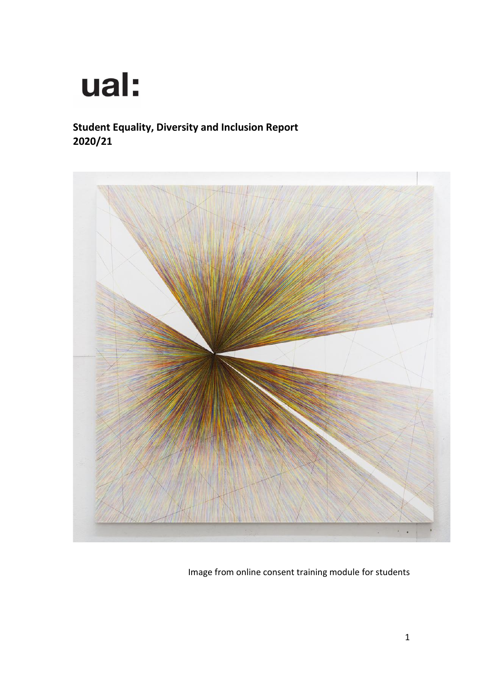

## **Student Equality, Diversity and Inclusion Report 2020/21**



Image from online consent training module for students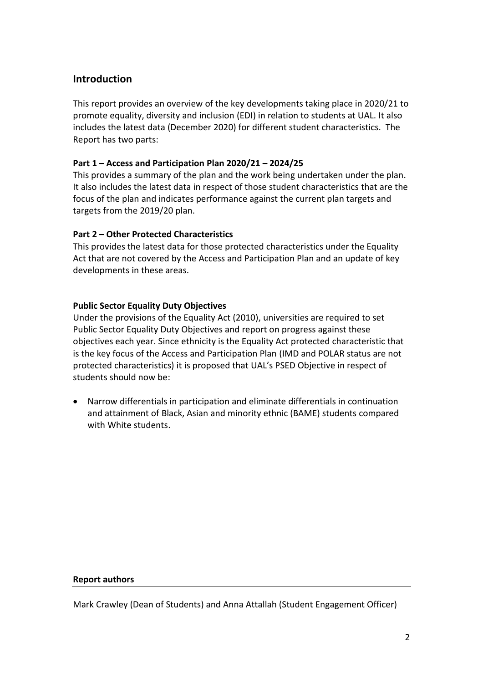## **Introduction**

This report provides an overview of the key developments taking place in 2020/21 to promote equality, diversity and inclusion (EDI) in relation to students at UAL. It also includes the latest data (December 2020) for different student characteristics. The Report has two parts:

## **Part 1 – Access and Participation Plan 2020/21 – 2024/25**

This provides a summary of the plan and the work being undertaken under the plan. It also includes the latest data in respect of those student characteristics that are the focus of the plan and indicates performance against the current plan targets and targets from the 2019/20 plan.

## **Part 2 – Other Protected Characteristics**

This provides the latest data for those protected characteristics under the Equality Act that are not covered by the Access and Participation Plan and an update of key developments in these areas.

#### **Public Sector Equality Duty Objectives**

Under the provisions of the Equality Act (2010), universities are required to set Public Sector Equality Duty Objectives and report on progress against these objectives each year. Since ethnicity is the Equality Act protected characteristic that is the key focus of the Access and Participation Plan (IMD and POLAR status are not protected characteristics) it is proposed that UAL's PSED Objective in respect of students should now be:

• Narrow differentials in participation and eliminate differentials in continuation and attainment of Black, Asian and minority ethnic (BAME) students compared with White students.

#### **Report authors**

Mark Crawley (Dean of Students) and Anna Attallah (Student Engagement Officer)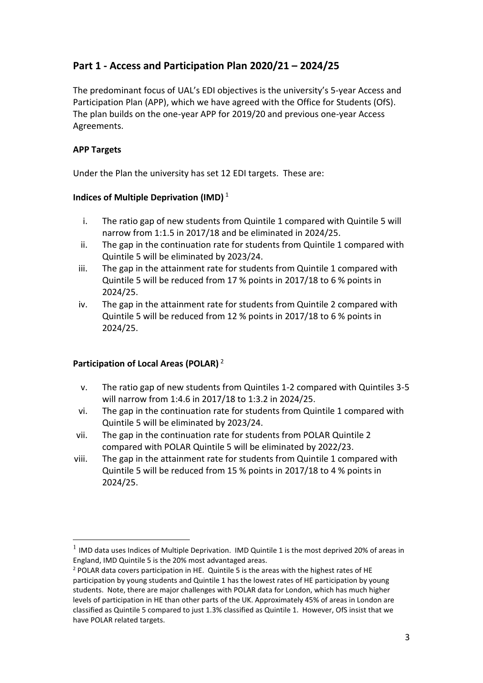## **Part 1 - Access and Participation Plan 2020/21 – 2024/25**

The predominant focus of UAL's EDI objectives is the university's 5-year Access and Participation Plan (APP), which we have agreed with the Office for Students (OfS). The plan builds on the one-year APP for 2019/20 and previous one-year Access Agreements.

## **APP Targets**

Under the Plan the university has set 12 EDI targets. These are:

## **Indices of Multiple Deprivation (IMD)** <sup>1</sup>

- i. The ratio gap of new students from Quintile 1 compared with Quintile 5 will narrow from 1:1.5 in 2017/18 and be eliminated in 2024/25.
- ii. The gap in the continuation rate for students from Quintile 1 compared with Quintile 5 will be eliminated by 2023/24.
- iii. The gap in the attainment rate for students from Quintile 1 compared with Quintile 5 will be reduced from 17 % points in 2017/18 to 6 % points in 2024/25.
- iv. The gap in the attainment rate for students from Quintile 2 compared with Quintile 5 will be reduced from 12 % points in 2017/18 to 6 % points in 2024/25.

## **Participation of Local Areas (POLAR)** <sup>2</sup>

- v. The ratio gap of new students from Quintiles 1-2 compared with Quintiles 3-5 will narrow from 1:4.6 in 2017/18 to 1:3.2 in 2024/25.
- vi. The gap in the continuation rate for students from Quintile 1 compared with Quintile 5 will be eliminated by 2023/24.
- vii. The gap in the continuation rate for students from POLAR Quintile 2 compared with POLAR Quintile 5 will be eliminated by 2022/23.
- viii. The gap in the attainment rate for students from Quintile 1 compared with Quintile 5 will be reduced from 15 % points in 2017/18 to 4 % points in 2024/25.

 $<sup>1</sup>$  IMD data uses Indices of Multiple Deprivation. IMD Quintile 1 is the most deprived 20% of areas in</sup> England, IMD Quintile 5 is the 20% most advantaged areas.

<sup>&</sup>lt;sup>2</sup> POLAR data covers participation in HE. Quintile 5 is the areas with the highest rates of HE participation by young students and Quintile 1 has the lowest rates of HE participation by young students. Note, there are major challenges with POLAR data for London, which has much higher levels of participation in HE than other parts of the UK. Approximately 45% of areas in London are classified as Quintile 5 compared to just 1.3% classified as Quintile 1. However, OfS insist that we have POLAR related targets.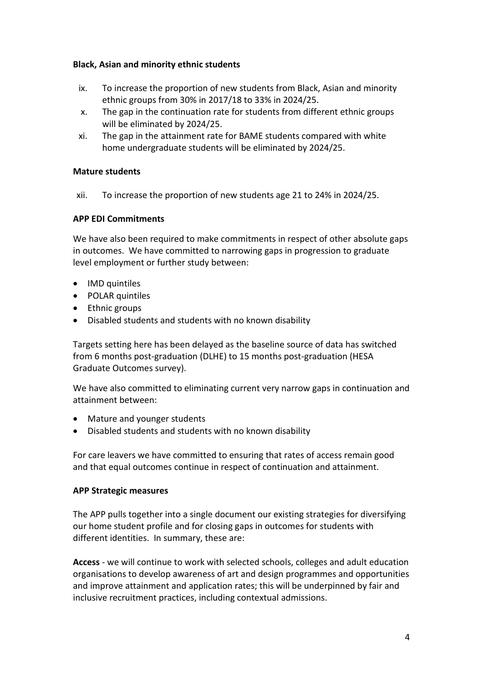#### **Black, Asian and minority ethnic students**

- ix. To increase the proportion of new students from Black, Asian and minority ethnic groups from 30% in 2017/18 to 33% in 2024/25.
- x. The gap in the continuation rate for students from different ethnic groups will be eliminated by 2024/25.
- xi. The gap in the attainment rate for BAME students compared with white home undergraduate students will be eliminated by 2024/25.

#### **Mature students**

xii. To increase the proportion of new students age 21 to 24% in 2024/25.

## **APP EDI Commitments**

We have also been required to make commitments in respect of other absolute gaps in outcomes. We have committed to narrowing gaps in progression to graduate level employment or further study between:

- IMD quintiles
- POLAR quintiles
- Ethnic groups
- Disabled students and students with no known disability

Targets setting here has been delayed as the baseline source of data has switched from 6 months post-graduation (DLHE) to 15 months post-graduation (HESA Graduate Outcomes survey).

We have also committed to eliminating current very narrow gaps in continuation and attainment between:

- Mature and younger students
- Disabled students and students with no known disability

For care leavers we have committed to ensuring that rates of access remain good and that equal outcomes continue in respect of continuation and attainment.

#### **APP Strategic measures**

The APP pulls together into a single document our existing strategies for diversifying our home student profile and for closing gaps in outcomes for students with different identities. In summary, these are:

**Access** - we will continue to work with selected schools, colleges and adult education organisations to develop awareness of art and design programmes and opportunities and improve attainment and application rates; this will be underpinned by fair and inclusive recruitment practices, including contextual admissions.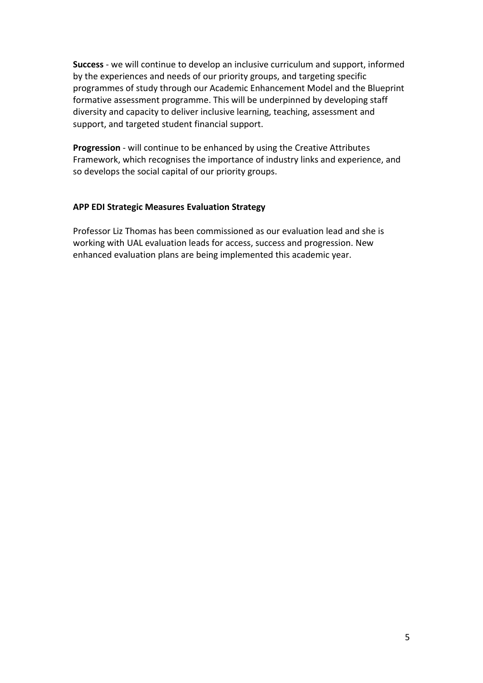**Success** - we will continue to develop an inclusive curriculum and support, informed by the experiences and needs of our priority groups, and targeting specific programmes of study through our Academic Enhancement Model and the Blueprint formative assessment programme. This will be underpinned by developing staff diversity and capacity to deliver inclusive learning, teaching, assessment and support, and targeted student financial support.

**Progression** - will continue to be enhanced by using the Creative Attributes Framework, which recognises the importance of industry links and experience, and so develops the social capital of our priority groups.

#### **APP EDI Strategic Measures Evaluation Strategy**

Professor Liz Thomas has been commissioned as our evaluation lead and she is working with UAL evaluation leads for access, success and progression. New enhanced evaluation plans are being implemented this academic year.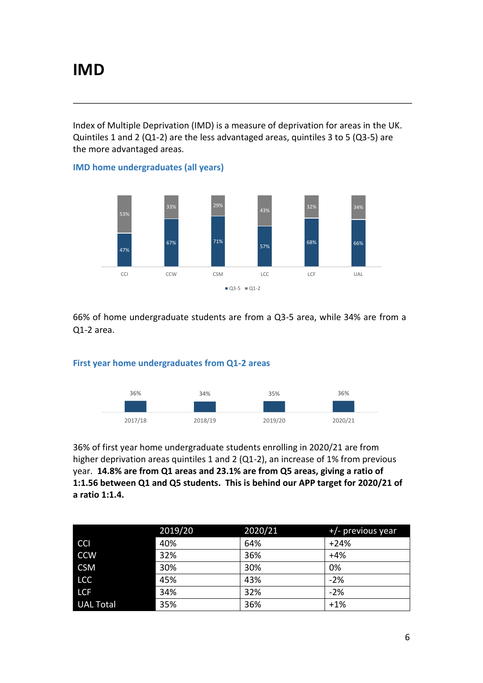Index of Multiple Deprivation (IMD) is a measure of deprivation for areas in the UK. Quintiles 1 and 2 (Q1-2) are the less advantaged areas, quintiles 3 to 5 (Q3-5) are the more advantaged areas.

**IMD home undergraduates (all years)**



66% of home undergraduate students are from a Q3-5 area, while 34% are from a Q1-2 area.

#### **First year home undergraduates from Q1-2 areas**



36% of first year home undergraduate students enrolling in 2020/21 are from higher deprivation areas quintiles 1 and 2 (Q1-2), an increase of 1% from previous year. **14.8% are from Q1 areas and 23.1% are from Q5 areas, giving a ratio of 1:1.56 between Q1 and Q5 students. This is behind our APP target for 2020/21 of a ratio 1:1.4.**

|                  | 2019/20 | 2020/21 | $+/-$ previous year |
|------------------|---------|---------|---------------------|
| <b>CCI</b>       | 40%     | 64%     | $+24%$              |
| <b>CCW</b>       | 32%     | 36%     | $+4%$               |
| <b>CSM</b>       | 30%     | 30%     | 0%                  |
| <b>LCC</b>       | 45%     | 43%     | $-2%$               |
| <b>LCF</b>       | 34%     | 32%     | $-2%$               |
| <b>UAL Total</b> | 35%     | 36%     | $+1%$               |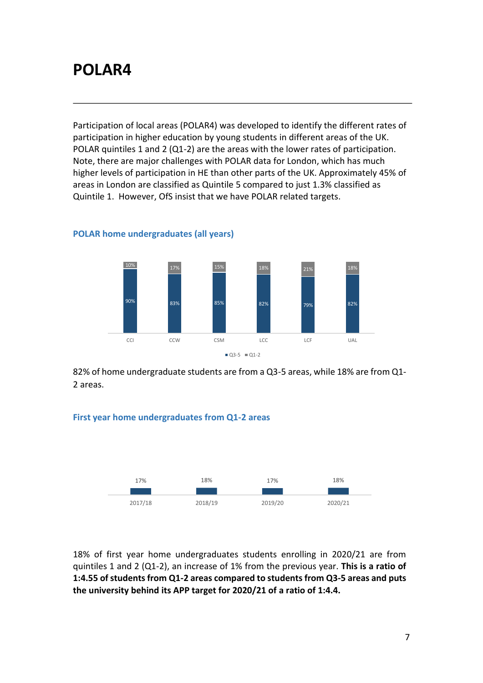## **POLAR4**

Participation of local areas (POLAR4) was developed to identify the different rates of participation in higher education by young students in different areas of the UK. POLAR quintiles 1 and 2 (Q1-2) are the areas with the lower rates of participation. Note, there are major challenges with POLAR data for London, which has much higher levels of participation in HE than other parts of the UK. Approximately 45% of areas in London are classified as Quintile 5 compared to just 1.3% classified as Quintile 1. However, OfS insist that we have POLAR related targets.



#### **POLAR home undergraduates (all years)**

82% of home undergraduate students are from a Q3-5 areas, while 18% are from Q1- 2 areas.

## **First year home undergraduates from Q1-2 areas**



18% of first year home undergraduates students enrolling in 2020/21 are from quintiles 1 and 2 (Q1-2), an increase of 1% from the previous year. **This is a ratio of 1:4.55 of students from Q1-2 areas compared to students from Q3-5 areas and puts the university behind its APP target for 2020/21 of a ratio of 1:4.4.**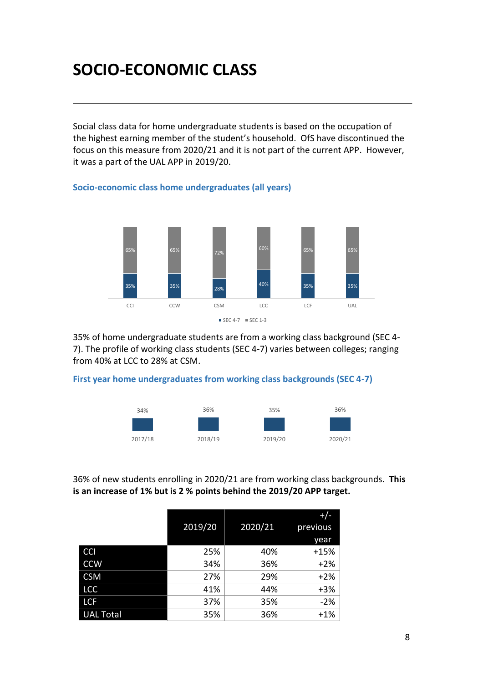## **SOCIO-ECONOMIC CLASS**

**Socio-economic class home undergraduates (all years)**

Social class data for home undergraduate students is based on the occupation of the highest earning member of the student's household. OfS have discontinued the focus on this measure from 2020/21 and it is not part of the current APP. However, it was a part of the UAL APP in 2019/20.

## 35% 35% 28% 40% 35% 35% 65% 65% 72% 60% 65% 65% CCI CCW CSM LCC LCF UAL  $SEC 4-7 = SEC 1-3$

35% of home undergraduate students are from a working class background (SEC 4- 7). The profile of working class students (SEC 4-7) varies between colleges; ranging from 40% at LCC to 28% at CSM.

#### **First year home undergraduates from working class backgrounds (SEC 4-7)**



36% of new students enrolling in 2020/21 are from working class backgrounds. **This is an increase of 1% but is 2 % points behind the 2019/20 APP target.**

|                  |         |         | $^{+/-}$ |
|------------------|---------|---------|----------|
|                  | 2019/20 | 2020/21 | previous |
|                  |         |         | year     |
| <b>CCI</b>       | 25%     | 40%     | $+15%$   |
| <b>CCW</b>       | 34%     | 36%     | $+2%$    |
| <b>CSM</b>       | 27%     | 29%     | $+2%$    |
| <b>LCC</b>       | 41%     | 44%     | $+3%$    |
| <b>LCF</b>       | 37%     | 35%     | $-2%$    |
| <b>UAL Total</b> | 35%     | 36%     | $+1%$    |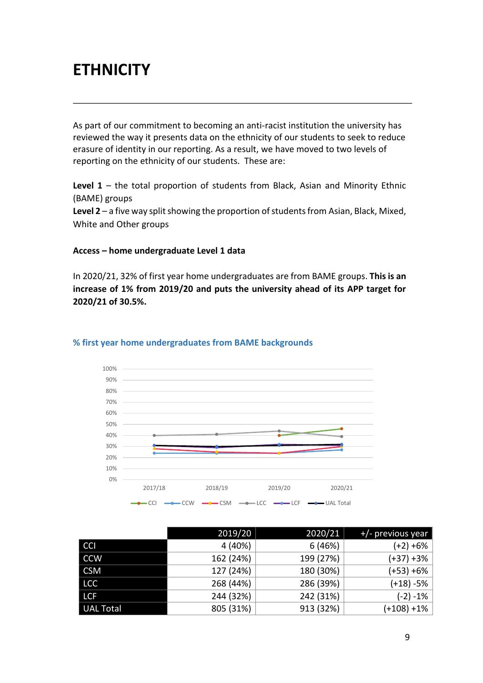## **ETHNICITY**

As part of our commitment to becoming an anti-racist institution the university has reviewed the way it presents data on the ethnicity of our students to seek to reduce erasure of identity in our reporting. As a result, we have moved to two levels of reporting on the ethnicity of our students. These are:

**Level 1** – the total proportion of students from Black, Asian and Minority Ethnic (BAME) groups

**Level 2** – a five way split showing the proportion of students from Asian, Black, Mixed, White and Other groups

#### **Access – home undergraduate Level 1 data**

In 2020/21, 32% of first year home undergraduates are from BAME groups. **This is an increase of 1% from 2019/20 and puts the university ahead of its APP target for 2020/21 of 30.5%.**



#### **% first year home undergraduates from BAME backgrounds**

|                  | 2019/20   | 2020/21   | +/- previous year |
|------------------|-----------|-----------|-------------------|
| <b>CCI</b>       | 4 (40%)   | 6(46%)    | $(+2) +6%$        |
| <b>CCW</b>       | 162 (24%) | 199 (27%) | $(+37) +3%$       |
| <b>CSM</b>       | 127 (24%) | 180 (30%) | $(+53) +6%$       |
| <b>LCC</b>       | 268 (44%) | 286 (39%) | $(+18) -5%$       |
| <b>LCF</b>       | 244 (32%) | 242 (31%) | $(-2) - 1%$       |
| <b>UAL Total</b> | 805 (31%) | 913 (32%) | (+108) +1%        |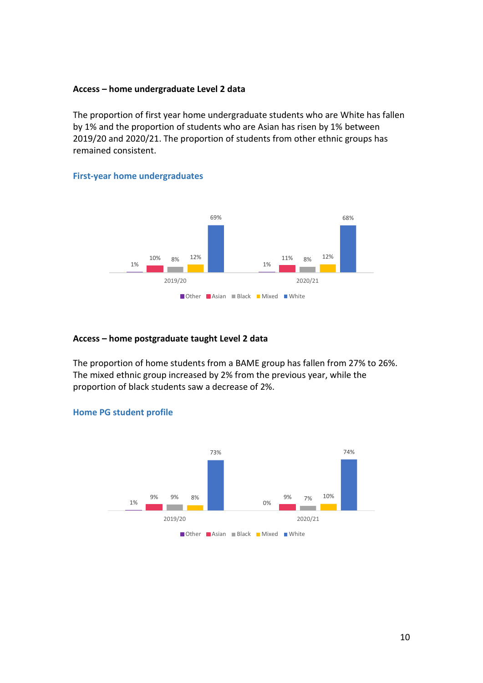#### **Access – home undergraduate Level 2 data**

The proportion of first year home undergraduate students who are White has fallen by 1% and the proportion of students who are Asian has risen by 1% between 2019/20 and 2020/21. The proportion of students from other ethnic groups has remained consistent.

## **First-year home undergraduates**



#### **Access – home postgraduate taught Level 2 data**

The proportion of home students from a BAME group has fallen from 27% to 26%. The mixed ethnic group increased by 2% from the previous year, while the proportion of black students saw a decrease of 2%.



#### **Home PG student profile**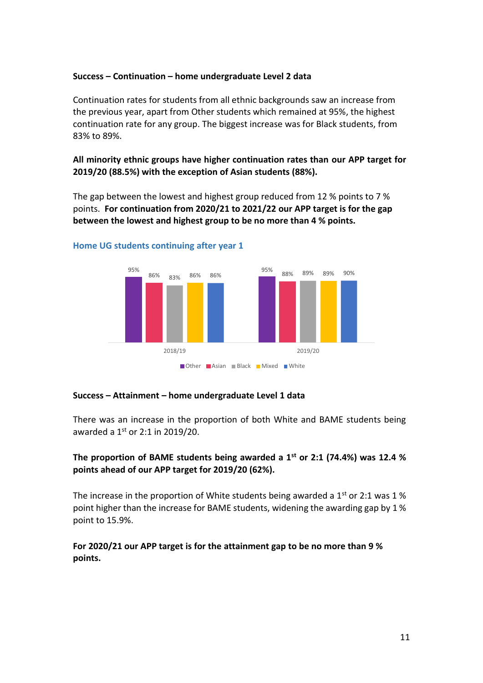#### **Success – Continuation – home undergraduate Level 2 data**

Continuation rates for students from all ethnic backgrounds saw an increase from the previous year, apart from Other students which remained at 95%, the highest continuation rate for any group. The biggest increase was for Black students, from 83% to 89%.

**All minority ethnic groups have higher continuation rates than our APP target for 2019/20 (88.5%) with the exception of Asian students (88%).**

The gap between the lowest and highest group reduced from 12 % points to 7 % points. **For continuation from 2020/21 to 2021/22 our APP target is for the gap between the lowest and highest group to be no more than 4 % points.** 



#### **Home UG students continuing after year 1**

#### **Success – Attainment – home undergraduate Level 1 data**

There was an increase in the proportion of both White and BAME students being awarded a  $1<sup>st</sup>$  or 2:1 in 2019/20.

## **The proportion of BAME students being awarded a 1st or 2:1 (74.4%) was 12.4 % points ahead of our APP target for 2019/20 (62%).**

The increase in the proportion of White students being awarded a  $1<sup>st</sup>$  or 2:1 was 1 % point higher than the increase for BAME students, widening the awarding gap by 1 % point to 15.9%.

**For 2020/21 our APP target is for the attainment gap to be no more than 9 % points.**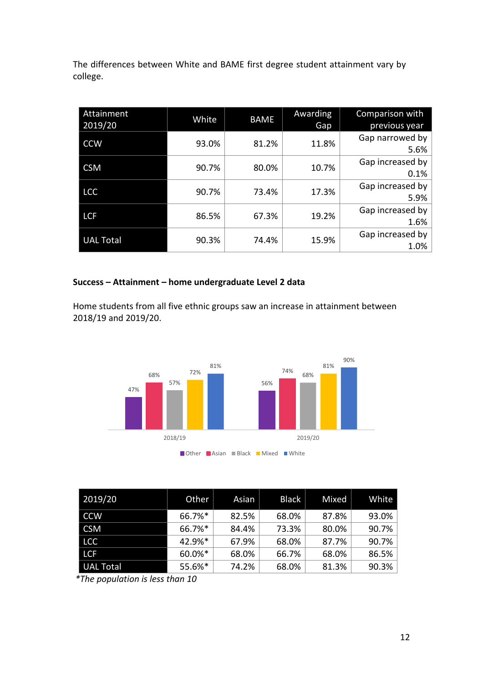The differences between White and BAME first degree student attainment vary by college.

| Attainment<br>2019/20 | White | <b>BAME</b> | Awarding<br>Gap | Comparison with<br>previous year |
|-----------------------|-------|-------------|-----------------|----------------------------------|
| <b>CCW</b>            | 93.0% | 81.2%       | 11.8%           | Gap narrowed by<br>5.6%          |
| <b>CSM</b>            | 90.7% | 80.0%       | 10.7%           | Gap increased by<br>0.1%         |
| <b>LCC</b>            | 90.7% | 73.4%       | 17.3%           | Gap increased by<br>5.9%         |
| <b>LCF</b>            | 86.5% | 67.3%       | 19.2%           | Gap increased by<br>1.6%         |
| <b>UAL Total</b>      | 90.3% | 74.4%       | 15.9%           | Gap increased by<br>1.0%         |

## **Success – Attainment – home undergraduate Level 2 data**

Home students from all five ethnic groups saw an increase in attainment between 2018/19 and 2019/20.



| 2019/20          | Other  | Asian | <b>Black</b> | Mixed | White |
|------------------|--------|-------|--------------|-------|-------|
| <b>CCW</b>       | 66.7%* | 82.5% | 68.0%        | 87.8% | 93.0% |
| <b>CSM</b>       | 66.7%* | 84.4% | 73.3%        | 80.0% | 90.7% |
| <b>LCC</b>       | 42.9%* | 67.9% | 68.0%        | 87.7% | 90.7% |
| <b>LCF</b>       | 60.0%* | 68.0% | 66.7%        | 68.0% | 86.5% |
| <b>UAL Total</b> | 55.6%* | 74.2% | 68.0%        | 81.3% | 90.3% |

*\*The population is less than 10*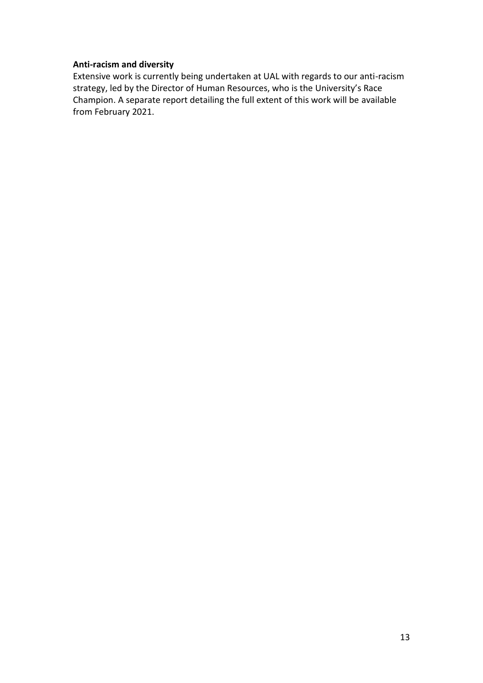#### **Anti-racism and diversity**

Extensive work is currently being undertaken at UAL with regards to our anti-racism strategy, led by the Director of Human Resources, who is the University's Race Champion. A separate report detailing the full extent of this work will be available from February 2021.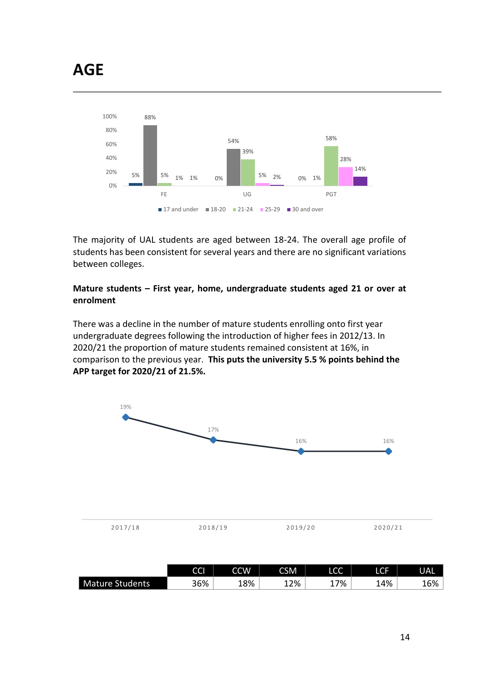

The majority of UAL students are aged between 18-24. The overall age profile of students has been consistent for several years and there are no significant variations between colleges.

## **Mature students – First year, home, undergraduate students aged 21 or over at enrolment**

There was a decline in the number of mature students enrolling onto first year undergraduate degrees following the introduction of higher fees in 2012/13. In 2020/21 the proportion of mature students remained consistent at 16%, in comparison to the previous year. **This puts the university 5.5 % points behind the APP target for 2020/21 of 21.5%.**



|                        | $\sim$<br>ししゅ | CCW | CSM | LCC     |       | <b>UAL</b> |
|------------------------|---------------|-----|-----|---------|-------|------------|
| <b>Mature Students</b> | 36%           | 18% | 12% | 7%<br>┵ | ⊥4% ∣ | 16%        |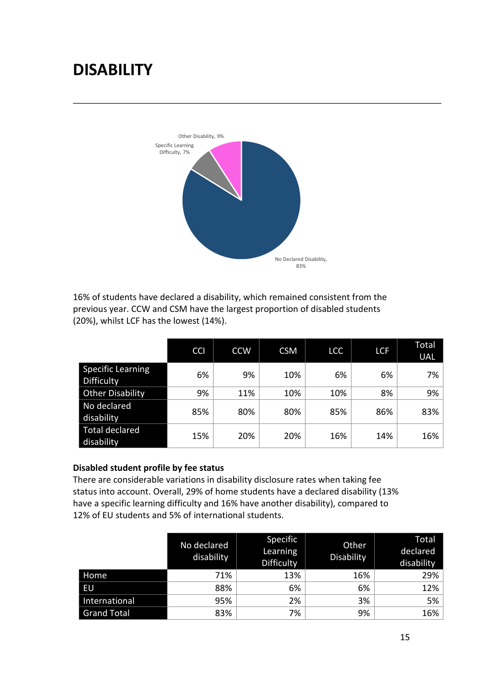# **DISABILITY**



16% of students have declared a disability, which remained consistent from the previous year. CCW and CSM have the largest proportion of disabled students (20%), whilst LCF has the lowest (14%).

|                                        | <b>CCI</b> | <b>CCW</b> | <b>CSM</b> | <b>LCC</b> | <b>LCF</b> | <b>Total</b><br><b>UAL</b> |
|----------------------------------------|------------|------------|------------|------------|------------|----------------------------|
| <b>Specific Learning</b><br>Difficulty | 6%         | 9%         | 10%        | 6%         | 6%         | 7%                         |
| <b>Other Disability</b>                | 9%         | 11%        | 10%        | 10%        | 8%         | 9%                         |
| No declared<br>disability              | 85%        | 80%        | 80%        | 85%        | 86%        | 83%                        |
| <b>Total declared</b><br>disability    | 15%        | 20%        | 20%        | 16%        | 14%        | 16%                        |

#### **Disabled student profile by fee status**

There are considerable variations in disability disclosure rates when taking fee status into account. Overall, 29% of home students have a declared disability (13% have a specific learning difficulty and 16% have another disability), compared to 12% of EU students and 5% of international students.

|                    | No declared<br>disability | Specific<br>Learning<br>Difficulty | Other<br>Disability | Total<br>declared<br>disability |
|--------------------|---------------------------|------------------------------------|---------------------|---------------------------------|
| Home               | 71%                       | 13%                                | 16%                 | 29%                             |
| EU                 | 88%                       | 6%                                 | 6%                  | 12%                             |
| International      | 95%                       | 2%                                 | 3%                  | 5%                              |
| <b>Grand Total</b> | 83%                       | 7%                                 | 9%                  | 16%                             |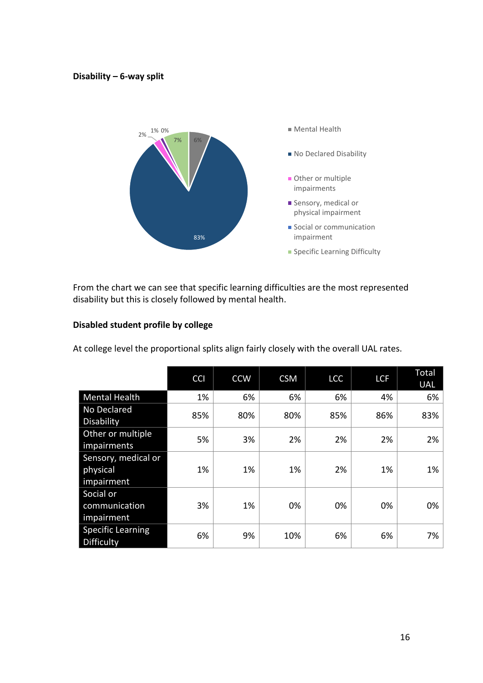#### **Disability – 6-way split**



From the chart we can see that specific learning difficulties are the most represented disability but this is closely followed by mental health.

## **Disabled student profile by college**

At college level the proportional splits align fairly closely with the overall UAL rates.

|                                               | <b>CCI</b> | <b>CCW</b> | <b>CSM</b> | LCC | <b>LCF</b> | Total<br><b>UAL</b> |
|-----------------------------------------------|------------|------------|------------|-----|------------|---------------------|
| <b>Mental Health</b>                          | 1%         | 6%         | 6%         | 6%  | 4%         | 6%                  |
| No Declared<br>Disability                     | 85%        | 80%        | 80%        | 85% | 86%        | 83%                 |
| Other or multiple<br>impairments              | 5%         | 3%         | 2%         | 2%  | 2%         | 2%                  |
| Sensory, medical or<br>physical<br>impairment | 1%         | 1%         | 1%         | 2%  | 1%         | 1%                  |
| Social or<br>communication<br>impairment      | 3%         | 1%         | 0%         | 0%  | 0%         | 0%                  |
| <b>Specific Learning</b><br><b>Difficulty</b> | 6%         | 9%         | 10%        | 6%  | 6%         | 7%                  |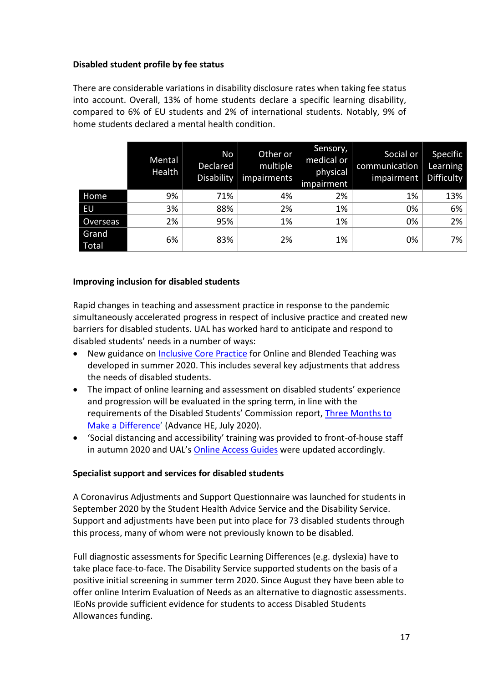## **Disabled student profile by fee status**

There are considerable variations in disability disclosure rates when taking fee status into account. Overall, 13% of home students declare a specific learning disability, compared to 6% of EU students and 2% of international students. Notably, 9% of home students declared a mental health condition.

|                | Mental<br>Health | <b>No</b><br>Declared<br>Disability | Other or<br>multiple<br>impairments | Sensory,<br>medical or<br>physical<br>impairment | Social or<br>communication<br>impairment | Specific<br>Learning<br>Difficulty |
|----------------|------------------|-------------------------------------|-------------------------------------|--------------------------------------------------|------------------------------------------|------------------------------------|
| Home           | 9%               | 71%                                 | 4%                                  | 2%                                               | 1%                                       | 13%                                |
| EU             | 3%               | 88%                                 | 2%                                  | 1%                                               | 0%                                       | 6%                                 |
| Overseas       | 2%               | 95%                                 | 1%                                  | 1%                                               | 0%                                       | 2%                                 |
| Grand<br>Total | 6%               | 83%                                 | 2%                                  | 1%                                               | 0%                                       | 7%                                 |

#### **Improving inclusion for disabled students**

Rapid changes in teaching and assessment practice in response to the pandemic simultaneously accelerated progress in respect of inclusive practice and created new barriers for disabled students. UAL has worked hard to anticipate and respond to disabled students' needs in a number of ways:

- New guidance on [Inclusive Core Practice](https://www.arts.ac.uk/about-ual/teaching-and-learning-exchange/teaching-online/designing-organising-your-course) for Online and Blended Teaching was developed in summer 2020. This includes several key adjustments that address the needs of disabled students.
- The impact of online learning and assessment on disabled students' experience and progression will be evaluated in the spring term, in line with the requirements of the Disabled Students' Commission report, [Three Months to](https://www.advance-he.ac.uk/knowledge-hub/three-months-make-difference)  [Make a Difference](https://www.advance-he.ac.uk/knowledge-hub/three-months-make-difference)' (Advance HE, July 2020).
- 'Social distancing and accessibility' training was provided to front-of-house staff in autumn 2020 and UAL's [Online Access Guides](https://www.accessable.co.uk/university-of-the-arts-london-ual) were updated accordingly.

#### **Specialist support and services for disabled students**

A Coronavirus Adjustments and Support Questionnaire was launched for students in September 2020 by the Student Health Advice Service and the Disability Service. Support and adjustments have been put into place for 73 disabled students through this process, many of whom were not previously known to be disabled.

Full diagnostic assessments for Specific Learning Differences (e.g. dyslexia) have to take place face-to-face. The Disability Service supported students on the basis of a positive initial screening in summer term 2020. Since August they have been able to offer online Interim Evaluation of Needs as an alternative to diagnostic assessments. IEoNs provide sufficient evidence for students to access Disabled Students Allowances funding.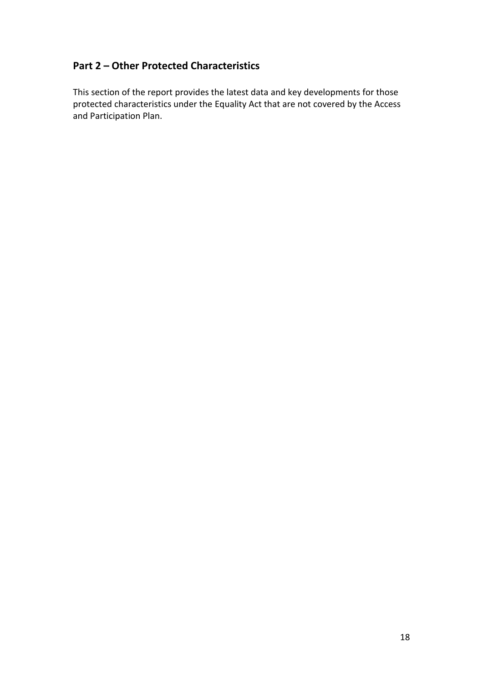## **Part 2 – Other Protected Characteristics**

This section of the report provides the latest data and key developments for those protected characteristics under the Equality Act that are not covered by the Access and Participation Plan.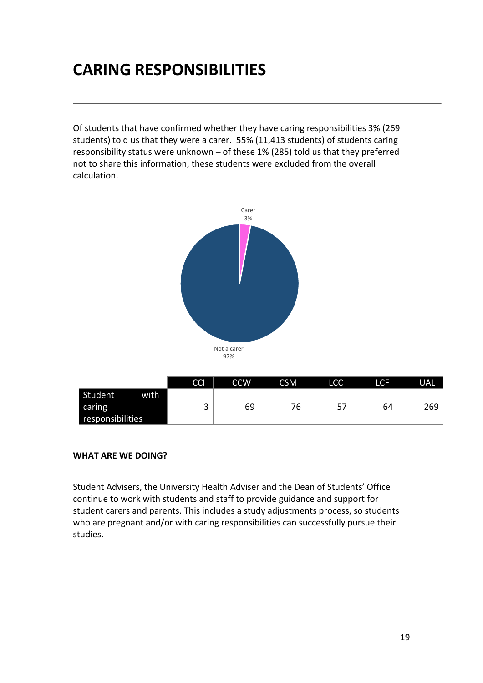## **CARING RESPONSIBILITIES**

Of students that have confirmed whether they have caring responsibilities 3% (269 students) told us that they were a carer. 55% (11,413 students) of students caring responsibility status were unknown – of these 1% (285) told us that they preferred not to share this information, these students were excluded from the overall calculation.



|                  | CCI    | <b>CCW</b> | <b>CSM</b> | LCC     | LCF | <b>UAL</b> |
|------------------|--------|------------|------------|---------|-----|------------|
| Student<br>with  |        |            |            |         |     |            |
| caring           | ⌒<br>ັ | 69         | 76         | г7<br>כ | 64  | 269        |
| responsibilities |        |            |            |         |     |            |

#### **WHAT ARE WE DOING?**

Student Advisers, the University Health Adviser and the Dean of Students' Office continue to work with students and staff to provide guidance and support for student carers and parents. This includes a study adjustments process, so students who are pregnant and/or with caring responsibilities can successfully pursue their studies.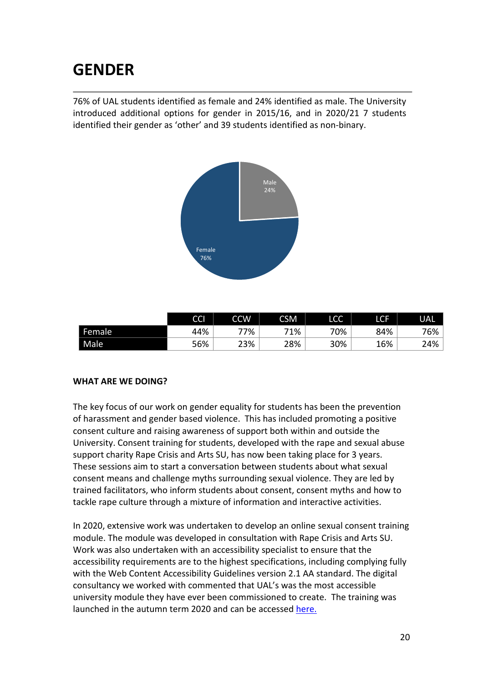## **GENDER**

76% of UAL students identified as female and 24% identified as male. The University introduced additional options for gender in 2015/16, and in 2020/21 7 students identified their gender as 'other' and 39 students identified as non-binary.



|        | <b>CCI</b> | <b>CCW</b> | <b>CSM</b> | $\sim$<br>LCC. | LCF | <b>UAL</b> |
|--------|------------|------------|------------|----------------|-----|------------|
| Female | 44%        | 77%        | 71%        | 70%            | 84% | 76%        |
| Male   | 56%        | 23%        | 28%        | 30%            | 16% | 24%        |

## **WHAT ARE WE DOING?**

The key focus of our work on gender equality for students has been the prevention of harassment and gender based violence. This has included promoting a positive consent culture and raising awareness of support both within and outside the University. Consent training for students, developed with the rape and sexual abuse support charity Rape Crisis and Arts SU, has now been taking place for 3 years. These sessions aim to start a conversation between students about what sexual consent means and challenge myths surrounding sexual violence. They are led by trained facilitators, who inform students about consent, consent myths and how to tackle rape culture through a mixture of information and interactive activities.

In 2020, extensive work was undertaken to develop an online sexual consent training module. The module was developed in consultation with Rape Crisis and Arts SU. Work was also undertaken with an accessibility specialist to ensure that the accessibility requirements are to the highest specifications, including complying fully with the Web Content Accessibility Guidelines version 2.1 AA standard. The digital consultancy we worked with commented that UAL's was the most accessible university module they have ever been commissioned to create. The training was launched in the autumn term 2020 and can be accessed [here.](https://academicsupportonline.arts.ac.uk/learning-materials/20187)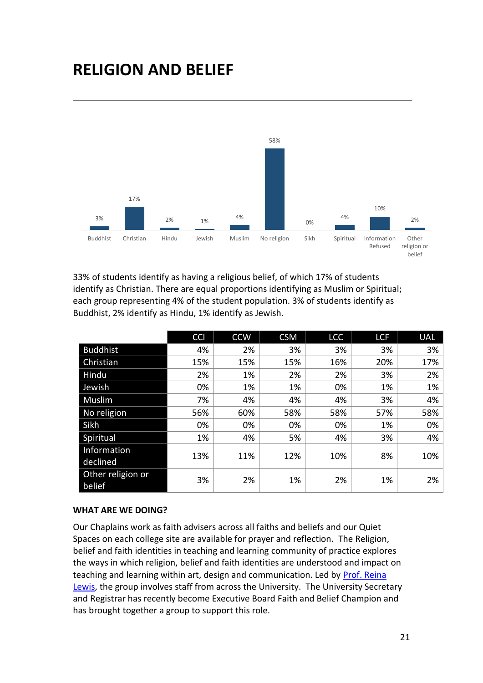## **RELIGION AND BELIEF**



33% of students identify as having a religious belief, of which 17% of students identify as Christian. There are equal proportions identifying as Muslim or Spiritual; each group representing 4% of the student population. 3% of students identify as Buddhist, 2% identify as Hindu, 1% identify as Jewish.

|                             | <b>CCI</b> | <b>CCW</b> | <b>CSM</b> | <b>LCC</b> | <b>LCF</b> | <b>UAL</b> |
|-----------------------------|------------|------------|------------|------------|------------|------------|
| <b>Buddhist</b>             | 4%         | 2%         | 3%         | 3%         | 3%         | 3%         |
| Christian                   | 15%        | 15%        | 15%        | 16%        | 20%        | 17%        |
| Hindu                       | 2%         | 1%         | 2%         | 2%         | 3%         | 2%         |
| Jewish                      | 0%         | 1%         | 1%         | 0%         | 1%         | 1%         |
| Muslim                      | 7%         | 4%         | 4%         | 4%         | 3%         | 4%         |
| No religion                 | 56%        | 60%        | 58%        | 58%        | 57%        | 58%        |
| Sikh                        | 0%         | 0%         | 0%         | 0%         | 1%         | 0%         |
| Spiritual                   | 1%         | 4%         | 5%         | 4%         | 3%         | 4%         |
| Information                 | 13%        | 11%        | 12%        | 10%        | 8%         | 10%        |
| declined                    |            |            |            |            |            |            |
| Other religion or<br>belief | 3%         | 2%         | 1%         | 2%         | 1%         | 2%         |

#### **WHAT ARE WE DOING?**

Our Chaplains work as faith advisers across all faiths and beliefs and our Quiet Spaces on each college site are available for prayer and reflection. The Religion, belief and faith identities in teaching and learning community of practice explores the ways in which religion, belief and faith identities are understood and impact on teaching and learning within art, design and communication. Led by [Prof. Reina](http://www.arts.ac.uk/research/ual-staff-researchers/a-z/professor-reina-lewis/)  [Lewis,](http://www.arts.ac.uk/research/ual-staff-researchers/a-z/professor-reina-lewis/) the group involves staff from across the University. The University Secretary and Registrar has recently become Executive Board Faith and Belief Champion and has brought together a group to support this role.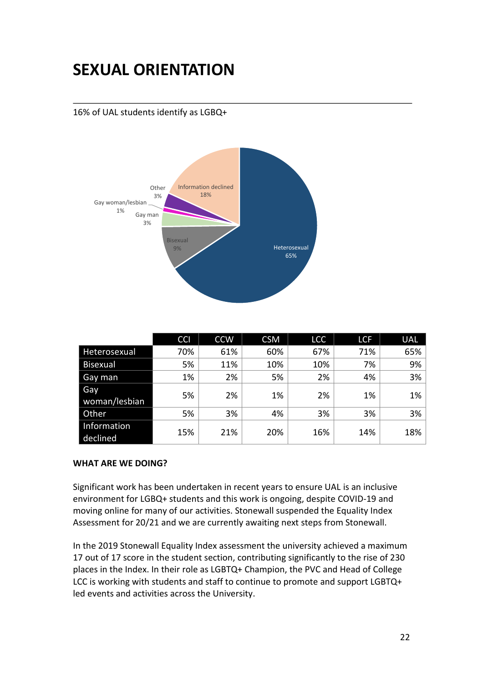# **SEXUAL ORIENTATION**

16% of UAL students identify as LGBQ+



|                         | <b>CCI</b> | <b>CCW</b> | <b>CSM</b> | <b>LCC</b> | <b>LCF</b> | <b>UAL</b> |
|-------------------------|------------|------------|------------|------------|------------|------------|
| Heterosexual            | 70%        | 61%        | 60%        | 67%        | 71%        | 65%        |
| <b>Bisexual</b>         | 5%         | 11%        | 10%        | 10%        | 7%         | 9%         |
| Gay man                 | 1%         | 2%         | 5%         | 2%         | 4%         | 3%         |
| Gay<br>woman/lesbian    | 5%         | 2%         | 1%         | 2%         | 1%         | 1%         |
| Other                   | 5%         | 3%         | 4%         | 3%         | 3%         | 3%         |
| Information<br>declined | 15%        | 21%        | 20%        | 16%        | 14%        | 18%        |

#### **WHAT ARE WE DOING?**

Significant work has been undertaken in recent years to ensure UAL is an inclusive environment for LGBQ+ students and this work is ongoing, despite COVID-19 and moving online for many of our activities. Stonewall suspended the Equality Index Assessment for 20/21 and we are currently awaiting next steps from Stonewall.

In the 2019 Stonewall Equality Index assessment the university achieved a maximum 17 out of 17 score in the student section, contributing significantly to the rise of 230 places in the Index. In their role as LGBTQ+ Champion, the PVC and Head of College LCC is working with students and staff to continue to promote and support LGBTQ+ led events and activities across the University.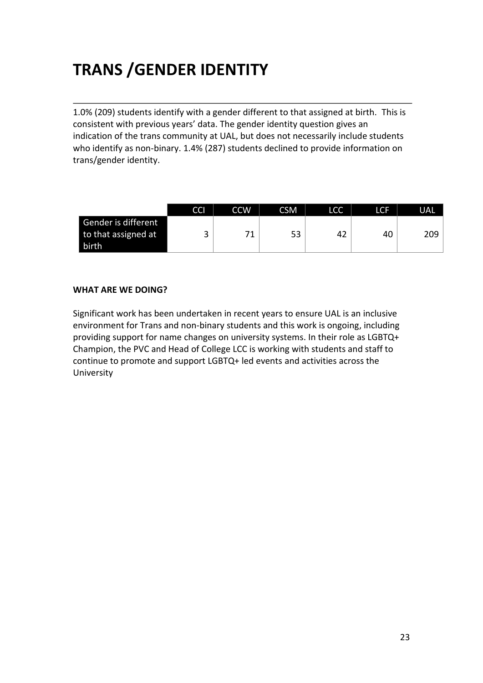# **TRANS /GENDER IDENTITY**

1.0% (209) students identify with a gender different to that assigned at birth. This is consistent with previous years' data. The gender identity question gives an indication of the trans community at UAL, but does not necessarily include students who identify as non-binary. 1.4% (287) students declined to provide information on trans/gender identity.

|                     | CCI    | <b>CCW</b> | <b>CSM</b> | LCC | LCF | <b>UAL</b> |
|---------------------|--------|------------|------------|-----|-----|------------|
| Gender is different |        |            |            |     |     |            |
| to that assigned at | ⌒<br>ب | 71         | 53         | 42  | 40  | 209        |
| birth               |        |            |            |     |     |            |

#### **WHAT ARE WE DOING?**

Significant work has been undertaken in recent years to ensure UAL is an inclusive environment for Trans and non-binary students and this work is ongoing, including providing support for name changes on university systems. In their role as LGBTQ+ Champion, the PVC and Head of College LCC is working with students and staff to continue to promote and support LGBTQ+ led events and activities across the University